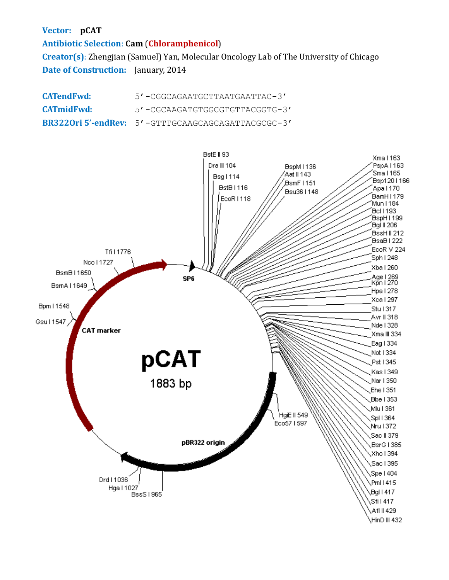**Vector: pCAT**

**Antibiotic Selection**: **Cam** (**Chloramphenicol**)

**Creator(s)**: Zhengjian (Samuel) Yan, Molecular Oncology Lab of The University of Chicago **Date of Construction:** January, 2014

**CATendFwd:** 5'-CGGCAGAATGCTTAATGAATTAC-3' **CATmidFwd:** 5'-CGCAAGATGTGGCGTGTTACGGTG-3' **BR322Ori 5'-endRev:** 5'-GTTTGCAAGCAGCAGATTACGCGC-3'

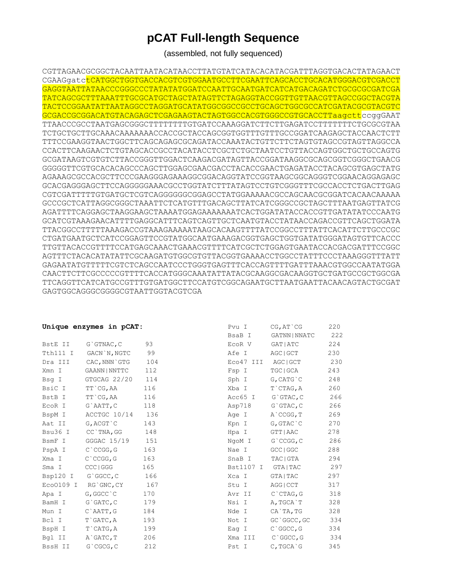## **pCAT Full-length Sequence**

(assembled, not fully sequenced)

CGTTAGAACGCGGCTACAATTAATACATAACCTTATGTATCATACACATACGATTTAGGTGACACTATAGAACT CGAAGgatctCATGGCTGGTGACCACGTCGTGGAATGCCTTCGAATTCAGCACCTGCACATGGGACGTCGACCT GAGGTAATTATAACCCGGGCCCTATATATGGATCCAATTGCAATGATCATCATGACAGATCTGCGCGCGATCGA TATCAGCGCTTTAAATTTGCGCATGCTAGCTATAGTTCTAGAGGTACCGGTTGTTAACGTTAGCCGGCTACGTA TACTCCGGAATATTAATAGGCCTAGGATGCATATGGCGGCCGCCTGCAGCTGGCGCCATCGATACGCGTACGTC GCGACCGCGGACATGTACAGAGCTCGAGAAGTACTAGTGGCCACGTGGGCCGTGCACCTTaagcttccggGAAT TTAACCCGCCTAATGAGCGGGCTTTTTTTTGTGATCCAAAGGATCTTCTTGAGATCCTTTTTTTCTGCGCGTAA TCTGCTGCTTGCAAACAAAAAAACCACCGCTACCAGCGGTGGTTTGTTTGCCGGATCAAGAGCTACCAACTCTT TTTCCGAAGGTAACTGGCTTCAGCAGAGCGCAGATACCAAATACTGTTCTTCTAGTGTAGCCGTAGTTAGGCCA CCACTTCAAGAACTCTGTAGCACCGCCTACATACCTCGCTCTGCTAATCCTGTTACCAGTGGCTGCTGCCAGTG GCGATAAGTCGTGTCTTACCGGGTTGGACTCAAGACGATAGTTACCGGATAAGGCGCAGCGGTCGGGCTGAACG GGGGGTTCGTGCACACAGCCCAGCTTGGAGCGAACGACCTACACCGAACTGAGATACCTACAGCGTGAGCTATG AGAAAGCGCCACGCTTCCCGAAGGGAGAAAGGCGGACAGGTATCCGGTAAGCGGCAGGGTCGGAACAGGAGAGC GCACGAGGGAGCTTCCAGGGGGAAACGCCTGGTATCTTTATAGTCCTGTCGGGTTTCGCCACCTCTGACTTGAG CGTCGATTTTTGTGATGCTCGTCAGGGGGGCGGAGCCTATGGAAAAACGCCAGCAACGCGGATCACAACAAAAA GCCCGCTCATTAGGCGGGCTAAATTCTCATGTTTGACAGCTTATCATCGGGCCGCTAGCTTTAATGAGTTATCG AGATTTTCAGGAGCTAAGGAAGCTAAAATGGAGAAAAAAATCACTGGATATACCACCGTTGATATATCCCAATG GCATCGTAAAGAACATTTTGAGGCATTTCAGTCAGTTGCTCAATGTACCTATAACCAGACCGTTCAGCTGGATA TTACGGCCTTTTTAAAGACCGTAAAGAAAAATAAGCACAAGTTTTATCCGGCCTTTATTCACATTCTTGCCCGC CTGATGAATGCTCATCCGGAGTTCCGTATGGCAATGAAAGACGGTGAGCTGGTGATATGGGATAGTGTTCACCC TTGTTACACCGTTTTCCATGAGCAAACTGAAACGTTTTCATCGCTCTGGAGTGAATACCACGACGATTTCCGGC AGTTTCTACACATATATTCGCAAGATGTGGCGTGTTACGGTGAAAACCTGGCCTATTTCCCTAAAGGGTTTATT GAGAATATGTTTTTCGTCTCAGCCAATCCCTGGGTGAGTTTCACCAGTTTTGATTTAAACGTGGCCAATATGGA CAACTTCTTCGCCCCCGTTTTCACCATGGGCAAATATTATACGCAAGGCGACAAGGTGCTGATGCCGCTGGCGA TTCAGGTTCATCATGCCGTTTGTGATGGCTTCCATGTCGGCAGAATGCTTAATGAATTACAACAGTACTGCGAT GAGTGGCAGGGCGGGGCGTAATTGGTACGTCGA

|          | Unique enzymes in pCAT:  |     | Pvu I   | $CG$ , $AT$ $CG$  | 220 |
|----------|--------------------------|-----|---------|-------------------|-----|
|          |                          |     | BsaB I  | GATNN   NNATC     | 222 |
| BstE II  | $G$ GTNAC, $C$           | 93  | EcoR V  | GAT   ATC         | 224 |
| Tth111 I | GACN`N, NGTC             | 99  | Afe I   | AGC   GCT         | 230 |
| Dra III  | CAC, NNN`GTG             | 104 |         | Eco47 III AGC GCT | 230 |
| Xmn I    | GAANN   NNTTC            | 112 | Fsp I   | TGC   GCA         | 243 |
| Bsq I    | GTGCAG 22/20             | 114 | Sph I   | G, CATG`C         | 248 |
| BsiC I   | TT`CG,AA                 | 116 | Xba I   | T`CTAG, A         | 260 |
| BstB I   | TT`CG, AA                | 116 | Acc65 I | G`GTAC, C         | 266 |
| EcoR I   | G`AATT, C                | 118 | Asp718  | G`GTAC, C         | 266 |
| BspM I   | ACCTGC 10/14 136         |     | Age I   | A`CCGG, T         | 269 |
| Aat II   | G, ACGT C                | 143 | Kpn I   | G, GTAC`C         | 270 |
| Bsu36 I  | CC`TNA, GG               | 148 | Hpa I   | GTT   AAC         | 278 |
| BsmF I   | GGGAC 15/19              | 151 | NgoM I  | G`CCGG, C         | 286 |
| PspA I   | $C$ $CCGG$ , $G$         | 163 | Nae I   | GCC   GGC         | 288 |
| Xma I    | $C$ $CCGG$ , $G$         | 163 | SnaB I  | TAC   GTA         | 294 |
| Sma I    | CCC   GGG                | 165 |         | Bst1107 I GTA TAC | 297 |
| Bsp120 I | G`GGCC, C                | 166 | Xca I   | GTA   TAC         | 297 |
|          | Eco0109 I RG'GNC, CY 167 |     | Stu I   | AGG   CCT         | 317 |
| Apa I    | G, GGCC `C               | 170 | Avr II  | C`CTAG, G         | 318 |
| BamH I   | G`GATC, C                | 179 | Nsi I   | A, TGCA`T         | 328 |
| Mun I    | C`AATT,G                 | 184 | Nde I   | CA`TA, TG         | 328 |
| Bcl I    | T`GATC, A                | 193 | Not I   | GC`GGCC,GC        | 334 |
| BspH I   | T`CATG, A                | 199 | Eag I   | C`GGCC, G         | 334 |
| Bgl II   | A GATC, T                | 206 | Xma III | C`GGCC, G         | 334 |
| BssH II  | G`CGCG, C                | 212 | Pst I   | C.TGCA G          | 345 |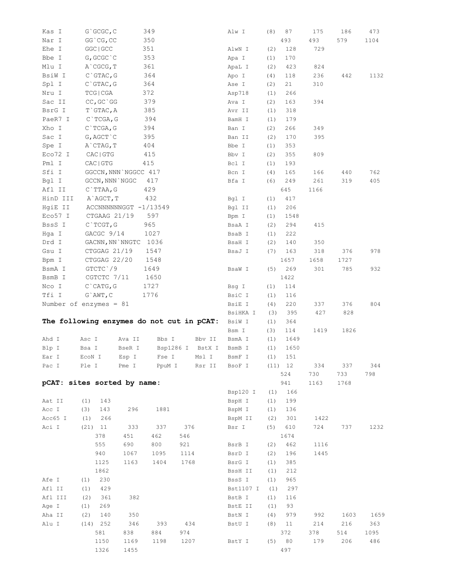| Kas I    | G`GCGC, C                                 |                       | 349    |      |                  | Alw I     | (8) | 87        | 175  | 186  | 473  |
|----------|-------------------------------------------|-----------------------|--------|------|------------------|-----------|-----|-----------|------|------|------|
| Nar I    | GG `CG, CC                                |                       | 350    |      |                  |           |     | 493       | 493  | 579  | 1104 |
| Ehe I    | GGC   GCC                                 |                       | 351    |      |                  | AlwN I    | (2) | 128       | 729  |      |      |
| Bbe I    | $G,$ GCGC $\degree$ C                     |                       | 353    |      |                  | Apa I     | (1) | 170       |      |      |      |
| Mlu I    | A CGCG, T                                 |                       | 361    |      |                  | ApaL I    | (2) | 423       | 824  |      |      |
| BsiW I   | $C$ GTAC, G                               |                       | 364    |      |                  | Apo I     | (4) | 118       | 236  | 442  | 1132 |
| Spl I    | $C$ GTAC, G                               |                       | 364    |      |                  | Ase I     | (2) | 21        | 310  |      |      |
| Nru I    | TCG   CGA                                 |                       | 372    |      |                  | Asp718    | (1) | 266       |      |      |      |
| Sac II   | $CC, GC$ ` $GG$                           |                       | 379    |      |                  | Ava I     | (2) | 163       | 394  |      |      |
| BsrG I   | $T$ GTAC, A                               |                       | 385    |      |                  | Avr II    | (1) | 318       |      |      |      |
| PaeR7 I  | $C$ TCGA, G                               |                       | 394    |      |                  | BamH I    | (1) | 179       |      |      |      |
| Xho I    | C`TCGA, G                                 |                       | 394    |      |                  | Ban I     | (2) | 266       | 349  |      |      |
| Sac I    | $G$ , $AGCT$ $^{\backprime}$ $C$          |                       | 395    |      |                  | Ban II    | (2) | 170       | 395  |      |      |
| Spe I    | A`CTAG, T                                 |                       | 404    |      |                  |           |     | 353       |      |      |      |
|          | ${\rm CAC}\mid {\rm GTG}$                 |                       |        |      |                  | Bbe I     | (1) |           |      |      |      |
| Eco72 I  |                                           |                       | 415    |      |                  | Bbv I     | (2) | 355       | 809  |      |      |
| Pml I    | CAC   GTG                                 |                       | 415    |      |                  | Bcl I     | (1) | 193       |      |      |      |
| Sfi I    |                                           | GGCCN, NNN NGGCC 417  |        |      |                  | Bcn I     | (4) | 165       | 166  | 440  | 762  |
| Bgl I    | GCCN, NNN NGGC                            |                       | 417    |      |                  | Bfa I     | (6) | 249       | 261  | 319  | 405  |
| Afl II   | $C$ TTAA, G                               |                       | 429    |      |                  |           |     | 645       | 1166 |      |      |
| HinD III | A AGCT, T                                 |                       | 432    |      |                  | Bgl I     | (1) | 417       |      |      |      |
| HgiE II  |                                           | ACCNNNNNNGGT -1/13549 |        |      |                  | Bgl II    | (1) | 206       |      |      |      |
| Eco57 I  | CTGAAG 21/19                              |                       | 597    |      |                  | Bpm I     | (1) | 1548      |      |      |      |
| BssS I   | $C$ TCGT, G                               |                       | 965    |      |                  | BsaA I    | (2) | 294       | 415  |      |      |
| Hga I    | GACGC 9/14                                |                       | 1027   |      |                  | BsaB I    | (1) | 222       |      |      |      |
| Drd I    |                                           | GACNN, NN `NNGTC 1036 |        |      |                  | BsaH I    | (2) | 140       | 350  |      |      |
| Gsu I    | CTGGAG 21/19                              |                       | 1547   |      |                  | BsaJ I    | (7) | 163       | 318  | 376  | 978  |
| Bpm I    | CTGGAG 22/20                              |                       | 1548   |      |                  |           |     | 1657      | 1658 | 1727 |      |
| BsmA I   | GTCTC 79                                  |                       | 1649   |      |                  | BsaW I    | (5) | 269       | 301  | 785  | 932  |
| BsmB I   | CGTCTC 7/11                               |                       | 1650   |      |                  |           |     | 1422      |      |      |      |
| Nco I    | $C$ $CATG$ , $G$                          |                       | 1727   |      |                  | Bsg I     | (1) | 114       |      |      |      |
| Tfi I    | $G$ `AWT, C                               |                       | 1776   |      |                  | BsiC I    | (1) | 116       |      |      |      |
|          | Number of enzymes = $81$                  |                       |        |      |                  | BsiE I    | (4) | 220       | 337  | 376  | 804  |
|          |                                           |                       |        |      |                  | BsiHKA I  | (3) | 395       | 427  | 828  |      |
|          | The following enzymes do not cut in pCAT: |                       |        |      |                  | BsiW I    | (1) | 364       |      |      |      |
|          |                                           |                       |        |      |                  | Bsm I     | (3) | 114       | 1419 | 1826 |      |
| Ahd I    | Asc I                                     | Ava II                | Bbs I  |      | Bbv II           | BsmA I    | (1) | 1649      |      |      |      |
| Blp I    | Bsa I                                     | BseR I                |        |      | Bsp1286 I BstX I | BsmB I    | (1) | 1650      |      |      |      |
| Ear I    | EcoN I                                    | Esp I                 |        |      | Fse I Msl I      | BsmF I    |     | $(1)$ 151 |      |      |      |
| Pac I    | Ple I                                     | Pme I                 | PpuM I |      | Rsr II           | BsoF I    |     | (11) 12   | 334  | 337  | 344  |
|          |                                           |                       |        |      |                  |           |     | 524       | 730  | 733  | 798  |
|          | pCAT: sites sorted by name:               |                       |        |      |                  |           |     | 941       | 1163 | 1768 |      |
|          |                                           |                       |        |      |                  | Bsp120 I  | (1) | 166       |      |      |      |
| Aat II   | (1)<br>143                                |                       |        |      |                  | BspH I    | (1) | 199       |      |      |      |
| Acc I    | (3)<br>143                                | 296                   | 1881   |      |                  | BspM I    | (1) | 136       |      |      |      |
| Acc65 I  | 266<br>(1)                                |                       |        |      |                  | BspM II   | (2) | 301       | 1422 |      |      |
|          |                                           |                       |        | 376  |                  | Bsr I     |     |           |      |      |      |
| Aci I    | $(21)$ 11                                 | 333                   | 337    |      |                  |           | (5) | 610       | 724  | 737  | 1232 |
|          | 378                                       | 451                   | 462    | 546  |                  |           |     | 1674      |      |      |      |
|          | 555                                       | 690                   | 800    | 921  |                  | BsrB I    | (2) | 462       | 1116 |      |      |
|          | 940                                       | 1067                  | 1095   | 1114 |                  | BsrD I    | (2) | 196       | 1445 |      |      |
|          | 1125                                      | 1163                  | 1404   | 1768 |                  | BsrG I    | (1) | 385       |      |      |      |
|          | 1862                                      |                       |        |      |                  | BssH II   | (1) | 212       |      |      |      |
| Afe I    | 230<br>(1)                                |                       |        |      |                  | BssS I    | (1) | 965       |      |      |      |
| Afl II   | 429<br>(1)                                |                       |        |      |                  | Bst1107 I | (1) | 297       |      |      |      |
| Afl III  | 361<br>(2)                                | 382                   |        |      |                  | BstB I    | (1) | 116       |      |      |      |
| Age I    | 269<br>(1)                                |                       |        |      |                  | BstE II   | (1) | 93        |      |      |      |
| Aha II   | (2)<br>140                                | 350                   |        |      |                  | BstN I    | (4) | 979       | 992  | 1603 | 1659 |
| Alu I    | $(14)$ 252                                | 346                   | 393    | 434  |                  | BstU I    | (8) | 11        | 214  | 216  | 363  |
|          | 581                                       | 838                   | 884    | 974  |                  |           |     | 372       | 378  | 514  | 1095 |
|          | 1150                                      | 1169                  | 1198   | 1207 |                  | BstY I    |     | (5) 80    | 179  | 206  | 486  |
|          | 1326                                      | 1455                  |        |      |                  |           |     | 497       |      |      |      |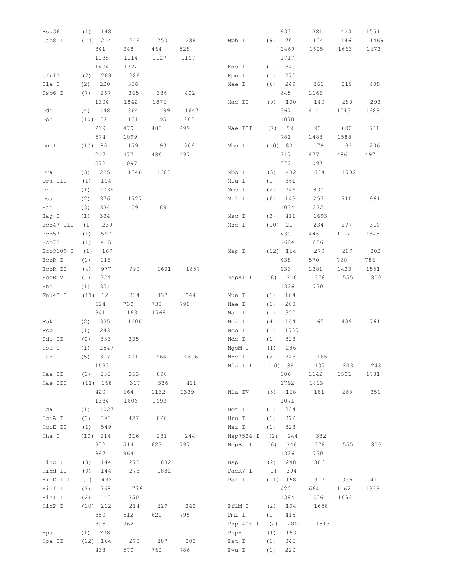| Bsu36 I   | (1)<br>148        |            |            |            |                |            | 933        | 1381 | 1423 | 1551 |
|-----------|-------------------|------------|------------|------------|----------------|------------|------------|------|------|------|
| Cac8 I    | 214<br>(14)       | 246        | 250        | 288        | Hph I          |            | (9) 70     | 104  | 1461 | 1469 |
|           | 341               | 348        | 464        | 528        |                |            | 1469       | 1605 | 1663 | 1673 |
|           | 1088              | 1114       | 1127       | 1167       |                |            | 1717       |      |      |      |
|           | 1404              | 1772       |            |            | Kas I          | (1)        | 349        |      |      |      |
| Cfr10 I   | 269<br>(2)        | 286        |            |            | Kpn I          | (1)        | 270        |      |      |      |
| Cla I     | (2)<br>220        | 356        |            |            | Mae I          | (6)        | 249        | 261  | 319  | 405  |
| Csp6 I    | 267<br>(7)        | 365        | 386        | 402        |                |            | 645        | 1166 |      |      |
|           | 1304              | 1842       | 1876       |            | Mae II         | (9)        | 100        | 140  | 280  | 293  |
| Dde I     | (4)<br>148        | 864        | 1199       | 1647       |                |            | 367        | 414  | 1513 | 1688 |
|           |                   |            |            |            |                |            |            |      |      |      |
| Dpn I     | (10) 82           | 181        | 195        | 208        |                |            | 1878       |      |      |      |
|           | 219               | 479        | 488        | 499        | Mae III        | (7)        | 59         | 93   | 602  | 718  |
|           | 574               | 1099       |            |            |                |            | 781        | 1483 | 1588 |      |
| DpnII     | (10) 80           | 179        | 193        | 206        | Mbo I          |            | (10) 80    | 179  | 193  | 206  |
|           | 217               | 477        | 486        | 497        |                |            | 217        | 477  | 486  | 497  |
|           | 572               | 1097       |            |            |                |            | 572        | 1097 |      |      |
| Dra I     | 235<br>(3)        | 1346       | 1685       |            | Mbo II         | (3)        | 482        | 634  | 1702 |      |
| Dra III   | 104<br>(1)        |            |            |            | Mlu I          | (1)        | 361        |      |      |      |
| Drd I     | (1)<br>1036       |            |            |            | Mme I          | (2)        | 746        | 930  |      |      |
| Dsa I     | (2)<br>376        | 1727       |            |            | Mnl I          | (6)        | 143        | 257  | 710  | 961  |
| Eae I     | (3)<br>334        | 409        | 1691       |            |                |            | 1034       | 1272 |      |      |
| Eag I     | (1)<br>334        |            |            |            | Msc I          | (2)        | 411        | 1693 |      |      |
| Eco47 III | 230<br>(1)        |            |            |            | Mse I          |            | (10) 21    | 234  | 277  | 310  |
| Eco57 I   | (1)<br>597        |            |            |            |                |            | 430        | 446  | 1172 | 1345 |
| Eco72 I   | 415<br>(1)        |            |            |            |                |            | 1684       | 1826 |      |      |
| Eco0109 I | (1)<br>167        |            |            |            | Msp I          |            | $(12)$ 164 | 270  | 287  | 302  |
| EcoR I    | (1)<br>118        |            |            |            |                |            | 438        | 570  | 760  | 786  |
|           |                   |            |            |            |                |            |            |      |      |      |
| ECOR II   | (4)<br>977        | 990        | 1601       | 1657       |                |            | 933        | 1381 | 1423 | 1551 |
| ECOR V    | 224<br>(1)        |            |            |            | MspA1 I        | (6)        | 346        | 378  | 555  | 800  |
| Ehe I     | (1)<br>351        |            |            |            |                |            | 1326       | 1770 |      |      |
| Fnu4H I   | (11) 12           | 334        | 337        | 344        | Mun I          | (1)        | 184        |      |      |      |
|           | 524               | 730        | 733        | 798        | Nae I          | (1)        | 288        |      |      |      |
|           | 941               | 1163       | 1768       |            | Nar I          | (1)        | 350        |      |      |      |
| Fok I     | (2)<br>335        | 1406       |            |            | Nci I          | (4)        | 164        | 165  | 439  | 761  |
| Fsp I     | (1)<br>243        |            |            |            | Nco I          | (1)        | 1727       |      |      |      |
| Gdi II    | (2)<br>333        | 335        |            |            | Nde I          | (1)        | 328        |      |      |      |
| Gsu I     | (1)<br>1547       |            |            |            | NgoM I         | (1)        | 286        |      |      |      |
| Hae I     | (5) 317           | 411        | 664        | 1606       | Nhe I          | (2)        | 248        | 1165 |      |      |
|           | 1693              |            |            |            | Nla III        |            | (10) 89    | 137  | 203  | 248  |
| Hae II    | $(3)$ 232         | 353        | 898        |            |                |            | 386        | 1142 | 1501 | 1731 |
| Hae III   | $(11)$ 168        | 317        | 336        | 411        |                |            | 1792       | 1813 |      |      |
|           | 420               | 664        | 1162       | 1339       | Nla IV         |            | (5) 168    | 181  | 268  | 351  |
|           | 1384              | 1606       | 1693       |            |                |            | 1071       |      |      |      |
| Hga I     | (1)<br>1027       |            |            |            | Not I          | (1)        | 334        |      |      |      |
| HgiA I    | 395<br>(3)        | 427        | 828        |            | Nru I          | (1)        | 372        |      |      |      |
| HgiE II   | $(1)$ 549         |            |            |            | Nsi I          | (1)        | 328        |      |      |      |
| Hha I     |                   | 216        |            | 244        | Nsp7524 I      |            |            |      |      |      |
|           | $(10)$ 214        |            | 231        |            |                | (2)        | 244        | 382  |      |      |
|           | 352               | 514        | 623        | 797        | NspB II        | (6)        | 346        | 378  | 555  | 800  |
|           | 897               | 964        |            |            |                |            | 1326       | 1770 |      |      |
| HinC II   | (3)<br>144        | 278        | 1882       |            | NspH I         | (2)        | 248        | 386  |      |      |
| Hind II   | (3)<br>144        | 278        | 1882       |            | PaeR7 I        | (1)        | 394        |      |      |      |
| HinD III  | 432<br>(1)        |            |            |            | Pal I          |            | $(11)$ 168 | 317  | 336  | 411  |
| Hinf I    | (2)<br>768        | 1776       |            |            |                |            | 420        | 664  | 1162 | 1339 |
|           |                   | 350        |            |            |                |            | 1384       | 1606 | 1693 |      |
| HinI I    | (2)<br>140        |            |            |            |                |            |            |      |      |      |
| HinP I    | $(10)$ 212        | 214        | 229        | 242        | PflM I         | (2)        | 104        | 1658 |      |      |
|           | 350               | 512        | 621        | 795        | Pml I          | (1)        | 415        |      |      |      |
|           | 895               | 962        |            |            | Psp1406 I      | (2)        | 280        | 1513 |      |      |
| Hpa I     | $(1)$ 278         |            |            |            | PspA I         | (1)        | 163        |      |      |      |
|           |                   |            |            |            |                |            |            |      |      |      |
| Hpa II    | $(12)$ 164<br>438 | 270<br>570 | 287<br>760 | 302<br>786 | Pst I<br>Pvu I | (1)<br>(1) | 345<br>220 |      |      |      |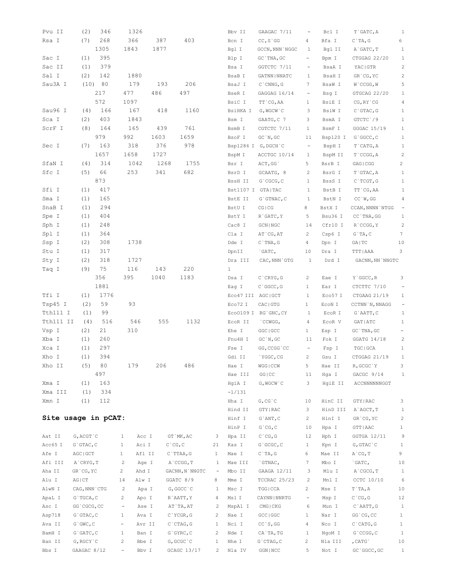| Pvu II              | (2)              | 346       | 1326                               |      |                  |                                 | Bbv II            | GAAGAC 7/11          |                          | Bcl I    | T`GATC, A            | 1                        |
|---------------------|------------------|-----------|------------------------------------|------|------------------|---------------------------------|-------------------|----------------------|--------------------------|----------|----------------------|--------------------------|
| Rsa I               | (7)              | 268       | 366                                | 387  | 403              |                                 | Bcn I             | CC, S'GG             | 4                        | Bfa I    | $C$ `TA, G           | 6                        |
|                     |                  | 1305      | 1843                               | 1877 |                  |                                 | Bgl I             | GCCN, NNN `NGGC      | 1                        | Bgl II   | A GATC, T            | 1                        |
| Sac I               | (1)              | 395       |                                    |      |                  |                                 | Blp I             | GC TNA, GC           | $\overline{\phantom{0}}$ | Bpm I    | CTGGAG 22/20         | 1                        |
| Sac II              | (1)              | 379       |                                    |      |                  |                                 | Bsa I             | GGTCTC 7/11          |                          | BsaA I   | YAC GTR              | $\sqrt{2}$               |
| Sal I               | (2)              | 142       | 1880                               |      |                  |                                 | BsaB I            | GATNN   NNATC        | 1                        | BsaH I   | GR`CG, YC            | $\sqrt{2}$               |
| Sau3A I             | (10)             | - 80      | 179                                | 193  | 206              |                                 | BsaJ I            | $C$ CNNG, G          | 7                        | BsaW I   | W`CCGG, W            | 5                        |
|                     |                  | 217       | 477                                | 486  | 497              |                                 | BseR I            | GAGGAG 16/14         | $\overline{\phantom{a}}$ | Bsg I    | GTGCAG 22/20         | 1                        |
|                     |                  | 572       | 1097                               |      |                  |                                 | BsiC I            | TT CG, AA            | 1                        | BsiE I   | $CG, RY$ $CG$        | $\overline{4}$           |
| Sau96 I             | (4)              | 166       | 167                                | 418  | 1160             |                                 | BsiHKA I          | G, WGCW`C            | 3                        | BsiW I   | $C$ GTAC, G          | $\mathbf{1}$             |
| Sca I               | (2)              | 403       | 1843                               |      |                  |                                 | Bsm I             | GAATG, C 7           | 3                        | BsmA I   | GTCTC 79             | $\mathbf{1}$             |
| ScrF I              | (8)              | 164       | 165                                | 439  | 761              |                                 | BsmB I            | CGTCTC 7/11          | $\mathbf{1}$             | BsmF I   | GGGAC 15/19          | $\mathbf{1}$             |
|                     |                  | 979       | 992                                | 1603 | 1659             |                                 | BsoF I            | GC'N, GC             | 11                       | Bsp120 I | G`GGCC, C            | $\mathbf{1}$             |
| Sec I               | (7)              | 163       | 318                                | 376  | 978              |                                 |                   | Bsp1286 I G, DGCH C  | $\overline{\phantom{a}}$ | BspH I   | T`CATG, A            | $\mathbf{1}$             |
|                     |                  | 1657      | 1658                               | 1727 |                  |                                 | BspM I            | ACCTGC 10/14         | $\mathbf{1}$             | BspM II  | $T$ $CCGG, A$        | $\overline{c}$           |
| SfaN I              | (4)              | 314       | 1042                               | 1268 | 1755             |                                 | Bsr I             | ACT, GG              | 5                        | BsrB I   | GAG   CGG            | $\overline{c}$           |
| Sfc I               | (5)              | 66        | 253                                | 341  | 682              |                                 | BsrD I            | GCAATG, 8            | 2                        | BsrG I   | T`GTAC, A            | $\mathbf{1}$             |
|                     |                  | 873       |                                    |      |                  |                                 | BssH II           | $G$ $CGCG, C$        | $\mathbf{1}$             | BssS I   | $C$ TCGT, G          | $\mathbf{1}$             |
| Sfi I               | (1)              | 417       |                                    |      |                  |                                 | Bst1107 I GTA TAC |                      | 1                        | BstB I   | TT CG, AA            | $\mathbf{1}$             |
| Sma I               | (1)              | 165       |                                    |      |                  |                                 | BstE II           | G`GTNAC, C           | 1                        | BstN I   | $CC$ `W, GG          | 4                        |
| SnaB I              | (1)              | 294       |                                    |      |                  |                                 | BstU I            | CG   CG              | 8                        | BstX I   | CCAN, NNNN `NTGG     | $\overline{\phantom{a}}$ |
| Spe I               | (1)              | 404       |                                    |      |                  |                                 | BstY I            | R`GATC, Y            | 5                        | Bsu36 I  | CC `TNA, GG          | $\mathbf{1}$             |
| Sph I               | (1)              | 248       |                                    |      |                  |                                 | Cac8 I            | $GCN$   $NGC$        | 14                       | Cfr10 I  | R`CCGG, Y            | $\overline{\mathbf{c}}$  |
| Spl I               | (1)              | 364       |                                    |      |                  |                                 | Cla I             | AT CG, AT            | $\overline{2}$           | Csp6 I   | $G$ `TA, C           | 7                        |
| Ssp I               | (2)              | 308       | 1738                               |      |                  |                                 | Dde I             | $C$ TNA, $G$         | 4                        |          |                      | 10                       |
|                     | (1)              | 317       |                                    |      |                  |                                 |                   |                      |                          | Dpn I    | GA   TC<br>TTT   AAA | 3                        |
| Stu I               | (2)              | 318       | 1727                               |      |                  |                                 | DpnII             | $\degree$ GATC,      | 10                       | Dra I    |                      |                          |
| Sty I               | (9)              |           | 116                                | 143  | 220              |                                 | Dra III           | CAC, NNN `GTG        | 1                        | Drd I    | GACNN, NN `NNGTC     |                          |
| Taq I               |                  | 75<br>356 | 395                                |      | 1183             |                                 | 1                 |                      |                          |          |                      |                          |
|                     |                  | 1881      |                                    | 1040 |                  |                                 | Dsa I             | $C$ $CRYG, G$        | $\overline{c}$           | Eae I    | Y`GGCC, R            | 3                        |
|                     |                  |           |                                    |      |                  |                                 | Eag I             | $C$ $GC$ , $G$       | $\mathbf{1}$             | Ear I    | CTCTTC 7/10          | $\overline{\phantom{a}}$ |
| Tfi I               | (1)              | 1776      |                                    |      |                  |                                 | Eco47 III AGC GCT |                      | $\mathbf{1}$             | Eco57 I  | CTGAAG 21/19         | $\mathbf{1}$             |
| Tsp45 I             | (2)              | 59        | 93                                 |      |                  |                                 | Eco72 I           | CAC   GTG            | $\mathbf{1}$             | ECON I   | CCTNN `N, NNAGG      | $\overline{\phantom{a}}$ |
| Tth111 I            | (1)              | 99        |                                    |      |                  |                                 |                   | EcoO109 I RG`GNC, CY | 1                        | EcoR I   | G`AATT, C            | $\mathbf{1}$             |
| Tth111 II           | (4)              | 516       | 546                                | 555  | 1132             |                                 | EcoR II           | CCWGG,               | 4                        | EcoR V   | GAT   ATC            | $\mathbf{1}$             |
| Vsp I               | (2)              | 21        | 310                                |      |                  |                                 | Ehe I             | GGC   GCC            | $\mathbf{1}$             | Esp I    | GC `TNA, GC          | -                        |
| Xba I               | (1)              | 260       |                                    |      |                  |                                 | Fnu4H I           | GC'N, GC             | 11                       | Fok I    | GGATG 14/18          | $\overline{c}$           |
| Xca I               | (1)              | 297       |                                    |      |                  |                                 | Fse I             | GG, CCGG `CC         | $-$                      | Fsp I    | TGC   GCA            | $\mathbf{1}$             |
| Xho I               | (1)              | 394       |                                    |      |                  |                                 | Gdi II            | `YGGC, CG            | $\mathbf{2}$             | Gsu I    | CTGGAG 21/19         | <sup>1</sup>             |
| Xho II              | (5)              | 80        | 179                                | 206  | 486              |                                 | Hae I             | WGG   CCW            | 5                        | Hae II   | R, GCGC`Y            | 3                        |
|                     |                  | 497       |                                    |      |                  |                                 | Hae III           | GG   CC              | 11                       | Hqa I    | GACGC 9/14           | $\mathbf{1}$             |
| Xma I               | (1)              | 163       |                                    |      |                  |                                 | HgiA I            | G, WGCW `C           | 3                        | HgiE II  | ACCNNNNNNGGT         |                          |
| Xma III             | (1)              | 334       |                                    |      |                  |                                 | $-1/131$          |                      |                          |          |                      |                          |
| Xmn I               | (1)              | 112       |                                    |      |                  |                                 | Hha I             | G, CG, C             | 10                       | HinC II  | GTY   RAC            | 3                        |
|                     |                  |           |                                    |      |                  |                                 | Hind II           | GTY   RAC            | $\mathcal{S}$            | HinD III | A`AGCT, T            | $\mathbf{1}$             |
| Site usage in pCAT: |                  |           |                                    |      |                  |                                 | Hinf I            | $G$ ANT, $C$         | $\overline{2}$           | HinI I   | GR CG, YC            | $\sqrt{2}$               |
|                     |                  |           |                                    |      |                  |                                 | HinP I            | $G$ $CG, C$          | 10                       | Hpa I    | GTT   AAC            | $\mathbf{1}$             |
| Aat II              | G, ACGT `C       |           | $\mathbf{1}$<br>Acc I              |      | GT `MK, AC       | 3                               | Hpa II            | $C^{\wedge}CG$ , $G$ | 12                       | Hph I    | GGTGA 12/11          | 9                        |
| Acc65 I             | $G$ GTAC, $C$    |           | Aci I<br>$\mathbf{1}$              |      | $C$ $CG, C$      | 21                              | Kas I             | $G$ $GCGC$ , $C$     | $\mathbf{1}$             | Kpn I    | $G, GTAC$ $C$        | $\mathbf{1}$             |
| Afe I               | AGC   GCT        |           | Afl II<br>$\mathbf{1}$             |      | $C$ TTAA, G      | $\mathbf{1}$                    | Mae I             | $C$ `TA, G           | 6                        | Mae II   | A`CG, T              | 9                        |
| Afl III             | A`CRYG, T        |           | $\overline{c}$<br>Age I            |      | A`CCGG, T        | $\mathbf{1}$                    | Mae III           | `GTNAC,              | $7^{\circ}$              | Mbo I    | `GATC,               | 10                       |
| Aha II              | GR CG, YC        |           | $\mathbf{2}$<br>Ahd I              |      | GACNN, N`NNGTC   | $\hspace{0.1mm}-\hspace{0.1mm}$ | Mbo II            | GAAGA 12/11          | 3                        | Mlu I    | A`CGCG, T            | $\mathbf{1}$             |
| Alu I               | AGICT            |           | Alw I<br>14                        |      | GGATC 8/9        | 8                               | Mme I             | TCCRAC 25/23         | 2                        | Mnl I    | CCTC 10/10           | $\epsilon$               |
| AlwN I              | CAG, NNN `CTG    |           | 2<br>Apa I                         |      | G, GGCC `C       | 1                               | Msc I             | TGG   CCA            | $\overline{2}$           | Mse I    | T`TA, A              | 10                       |
| ApaL I              | G`TGCA, C        |           | $\overline{2}$<br>Apo I            |      | R`AATT, Y        | 4                               | Msl I             | CAYNN   NNRTG        | $-$                      | Msp I    | $C^{\wedge}CG$ , $G$ | 12                       |
| Asc I               | GG`CGCG, CC      |           | Ase I<br>$\overline{\phantom{a}}$  |      | AT`TA, AT        | 2                               | MspAl I           | CMG   CKG            | 6                        | Mun I    | C`AATT, G            | $\mathbf{1}$             |
| Asp718              | $G$ GTAC, $C$    |           | Ava I<br>$\mathbf{1}$              |      | $C$ `YCGR, G     | 2                               | Nae I             | GCC   GGC            | $\mathbf{1}$             | Nar I    | GG`CG, CC            | $\mathbf{1}$             |
| Ava II              | $G$ $GWC$ , $C$  |           | Avr II<br>$\overline{\phantom{a}}$ |      | $C$ $CTAG$ , $G$ | $\mathbf{1}$                    | Nci I             | $CC$ `S, GG          | $\overline{4}$           | Nco I    | $C$ $CATG, G$        | $\mathbf{1}$             |
| BamH I              | $G$ $GATC$ , $C$ |           | Ban I<br>$\mathbf{1}$              |      | $G$ $GYRC$ , $C$ | 2                               | Nde I             | CA`TA, TG            | $\mathbf{1}$             | NgoM I   | $G$ $CCGG$ , $C$     | $\mathbf{1}$             |
| Ban II              | G, RGCY `C       |           | $\overline{c}$<br>Bbe I            |      | G, GCGC `C       | $\mathbf{1}$                    | Nhe I             | $G$ CTAG, $C$        | 2                        | Nla III  | , CATG`              | 10                       |
| Bbs I               | GAAGAC 8/12      |           | Bbv I<br>$\sim$                    |      | GCAGC 13/17      | $\overline{c}$                  | Nla IV            | GGN   NCC            | 5                        | Not I    | GC `GGCC, GC         | $\mathbf{1}$             |